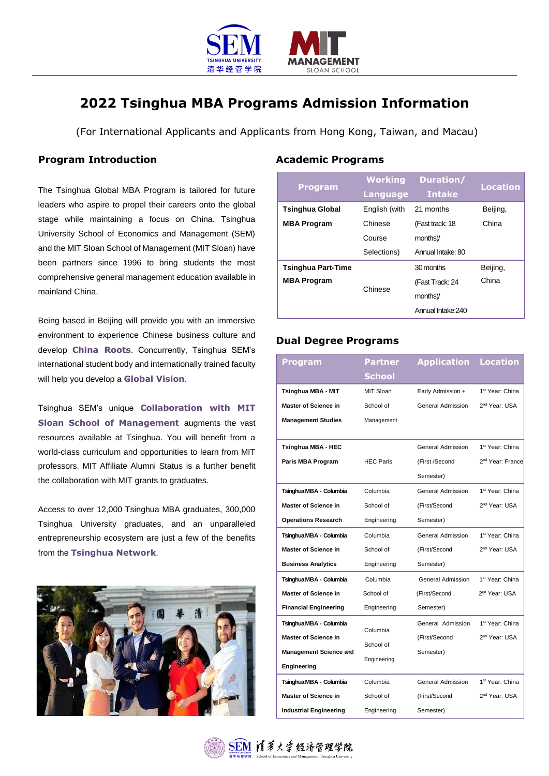

# **2022 Tsinghua MBA Programs Admission Information**

(For International Applicants and Applicants from Hong Kong, Taiwan, and Macau)

#### **Program Introduction**

The Tsinghua Global MBA Program is tailored for future leaders who aspire to propel their careers onto the global stage while maintaining a focus on China. Tsinghua University School of Economics and Management (SEM) and the MIT Sloan School of Management (MIT Sloan) have been partners since 1996 to bring students the most comprehensive general management education available in mainland China.

Being based in Beijing will provide you with an immersive environment to experience Chinese business culture and develop **China Roots**. Concurrently, Tsinghua SEM's international student body and internationally trained faculty will help you develop a **Global Vision**.

Tsinghua SEM's unique **Collaboration with MIT Sloan School of Management** augments the vast resources available at Tsinghua. You will benefit from a world-class curriculum and opportunities to learn from MIT professors. MIT Affiliate Alumni Status is a further benefit the collaboration with MIT grants to graduates.

Access to over 12,000 Tsinghua MBA graduates, 300,000 Tsinghua University graduates, and an unparalleled entrepreneurship ecosystem are just a few of the benefits from the **Tsinghua Network**.



### **Academic Programs**

| <b>Program</b>            | <b>Working</b><br><b>Language</b> | Duration/<br><b>Intake</b> | <b>Location</b> |
|---------------------------|-----------------------------------|----------------------------|-----------------|
| <b>Tsinghua Global</b>    | English (with                     | 21 months                  | Beijing,        |
| <b>MBA Program</b>        | Chinese                           | (Fast track: 18            | China           |
|                           | Course                            | months)                    |                 |
|                           | Selections)                       | Annual Intake: 80          |                 |
| <b>Tsinghua Part-Time</b> |                                   | 30 months                  | Beijing,        |
| <b>MBA Program</b>        | Chinese                           | (Fast Track: 24            | China           |
|                           |                                   | months)                    |                 |
|                           |                                   | Annual Intake: 240         |                 |

### **Dual Degree Programs**

| Program                       | <b>Partner</b>   | <b>Application</b>       | <b>Location</b>              |
|-------------------------------|------------------|--------------------------|------------------------------|
|                               | School           |                          |                              |
| <b>Tsinghua MBA - MIT</b>     | MIT Sloan        | Early Admission +        | 1 <sup>st</sup> Year: China  |
| <b>Master of Science in</b>   | School of        | General Admission        | 2 <sup>nd</sup> Year: USA    |
| <b>Management Studies</b>     | Management       |                          |                              |
|                               |                  |                          |                              |
| Tsinghua MBA - HEC            |                  | General Admission        | 1 <sup>st</sup> Year: China  |
| Paris MBA Program             | <b>HEC Paris</b> | (First /Second           | 2 <sup>nd</sup> Year: France |
|                               |                  | Semester)                |                              |
| Tsinghua MBA - Columbia       | Columbia         | General Admission        | 1 <sup>st</sup> Year: China  |
| <b>Master of Science in</b>   | School of        | (First/Second            | 2 <sup>nd</sup> Year: USA    |
| <b>Operations Research</b>    | Engineering      | Semester)                |                              |
| Tsinghua MBA - Columbia       | Columbia         | General Admission        | 1 <sup>st</sup> Year: China  |
| <b>Master of Science in</b>   | School of        | (First/Second            | 2 <sup>nd</sup> Year: USA    |
| <b>Business Analytics</b>     | Engineering      | Semester)                |                              |
| Tsinghua MBA - Columbia       | Columbia         | <b>General Admission</b> | 1 <sup>st</sup> Year: China  |
| <b>Master of Science in</b>   | School of        | (First/Second            | 2 <sup>nd</sup> Year: USA    |
| <b>Financial Engineering</b>  | Engineering      | Semester)                |                              |
| Tsinghua MBA - Columbia       | Columbia         | General Admission        | 1 <sup>st</sup> Year: China  |
| <b>Master of Science in</b>   |                  | (First/Second            | 2 <sup>nd</sup> Year: USA    |
| <b>Management Science and</b> | School of        | Semester)                |                              |
| Engineering                   | Engineering      |                          |                              |
| Tsinghua MBA - Columbia       | Columbia         | General Admission        | 1 <sup>st</sup> Year: China  |
| <b>Master of Science in</b>   | School of        | (First/Second            | 2 <sup>nd</sup> Year: USA    |
| <b>Industrial Engineering</b> | Engineering      | Semester)                |                              |

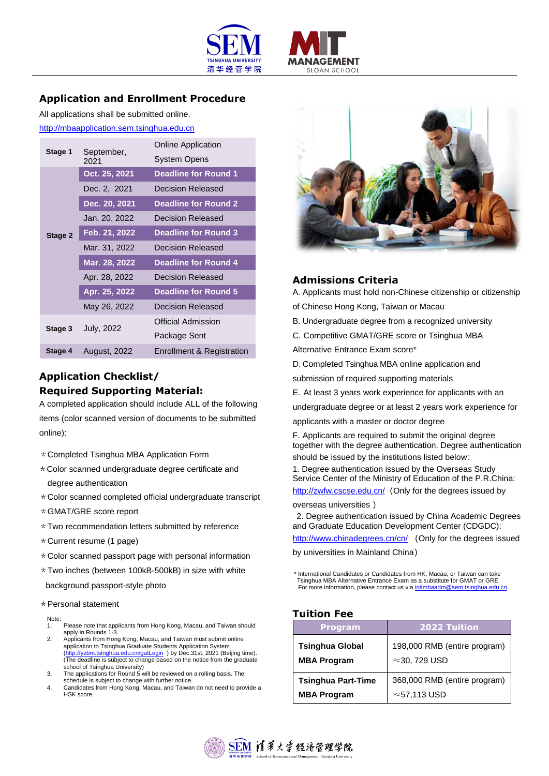



## **Application and Enrollment Procedure**

All applications shall be submitted online. [http://mbaapplication.sem.tsinghua.edu.cn](http://mbaapplication.sem.tsinghua.edu.cn/)

| September,<br>Stage 1<br>2021 |                     | <b>Online Application</b>   |  |
|-------------------------------|---------------------|-----------------------------|--|
|                               |                     | System Opens                |  |
| Stage 2                       | Oct. 25, 2021       | <b>Deadline for Round 1</b> |  |
|                               | Dec. 2, 2021        | Decision Released           |  |
|                               | Dec. 20, 2021       | <b>Deadline for Round 2</b> |  |
|                               | Jan. 20, 2022       | <b>Decision Released</b>    |  |
|                               | Feb. 21, 2022       | <b>Deadline for Round 3</b> |  |
|                               | Mar. 31, 2022       | Decision Released           |  |
|                               | Mar. 28, 2022       | <b>Deadline for Round 4</b> |  |
|                               | Apr. 28, 2022       | Decision Released           |  |
|                               | Apr. 25, 2022       | <b>Deadline for Round 5</b> |  |
|                               | May 26, 2022        | Decision Released           |  |
| Stage 3                       |                     | <b>Official Admission</b>   |  |
|                               | <b>July, 2022</b>   | Package Sent                |  |
| Stage 4                       | <b>August, 2022</b> | Enrollment & Registration   |  |

## **Application Checklist/ Required Supporting Material:**

A completed application should include ALL of the following items (color scanned version of documents to be submitted online):

- \*Completed Tsinghua MBA Application Form
- \*Color scanned undergraduate degree certificate and degree authentication
- \*Color scanned completed official undergraduate transcript
- \*GMAT/GRE score report
- \*Two recommendation letters submitted by reference
- \*Current resume (1 page)
- $*$  Color scanned passport page with personal information
- $*$  Two inches (between 100kB-500kB) in size with white

background passport-style photo

#### \*Personal statement

Note:<br>1.

- 1. Please note that applicants from Hong Kong, Macau, and Taiwan should apply in Rounds 1-3.
- 2. Applicants from Hong Kong, Macau, and Taiwan must submit online application to Tsinghua Graduate Students Application System [\(http://yzbm.tsinghua.edu.cn/gatLogin](http://yzbm.tsinghua.edu.cn/gatLogin) )by Dec.31st, 2021 (Beijing time).<br>(The deadline is subject to change based on the notice from the graduate school of Tsinghua University)
- 3. The applications for Round 5 will be reviewed on a rolling basis. The schedule is subject to change with further notice.
- 4. Candidates from Hong Kong, Macau, and Taiwan do not need to provide a HSK score.



### **Admissions Criteria**

A. Applicants must hold non-Chinese citizenship or citizenship

of Chinese Hong Kong, Taiwan or Macau

- B. Undergraduate degree from a recognized university
- C. Competitive GMAT/GRE score or Tsinghua MBA

Alternative Entrance Exam score\*

D. Completed Tsinghua MBA online application and

submission of required supporting materials

E. At least 3 years work experience for applicants with an

undergraduate degree or at least 2 years work experience for

applicants with a master or doctor degree

F. Applicants are required to submit the original degree together with the degree authentication. Degree authentication should be issued by the institutions listed below:

1. Degree authentication issued by the Overseas Study Service Center of the Ministry of Education of the P.R.China: <http://zwfw.cscse.edu.cn/> (Only for the degrees issued by

overseas universities )

2. Degree authentication issued by China Academic Degrees and Graduate Education Development Center (CDGDC):

<http://www.chinadegrees.cn/cn/> (Only for the degrees issued

by universities in Mainland China)

\* International Candidates or Candidates from HK, Macau, or Taiwan can take Tsinghua MBA Alternative Entrance Exam as a substitute for GMAT or GRE. For more information, please contact us vi[a intlmbaadm@sem.tsinghua.edu.cn](mailto:intlmbaadm@sem.tsinghua.edu.cn)

#### **Tuition Fee**

| <b>Program</b>                               | <b>2022 Tuition</b>                                   |
|----------------------------------------------|-------------------------------------------------------|
| <b>Tsinghua Global</b><br><b>MBA Program</b> | 198,000 RMB (entire program)<br>$\approx$ 30, 729 USD |
| <b>Tsinghua Part-Time</b>                    | 368,000 RMB (entire program)                          |
| <b>MBA Program</b>                           | $\approx$ 57,113 USD                                  |

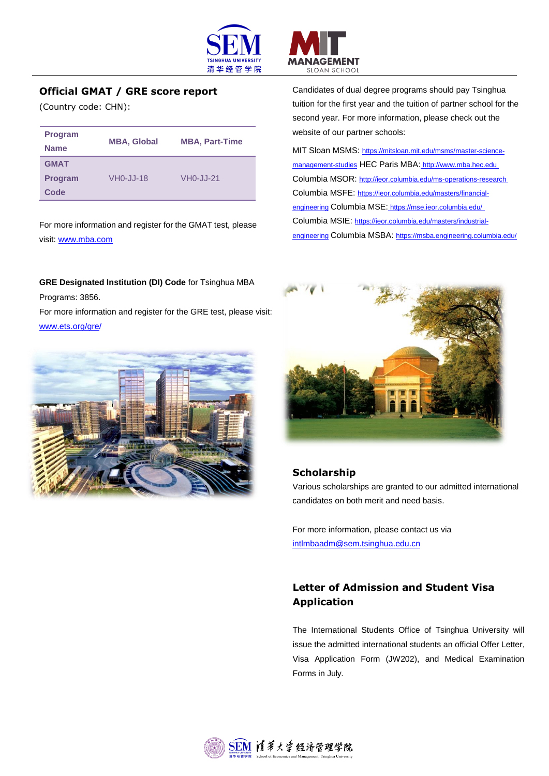

## **Official GMAT / GRE score report**

(Country code: CHN):

| <b>Program</b><br><b>Name</b> | <b>MBA, Global</b> | <b>MBA, Part-Time</b> |
|-------------------------------|--------------------|-----------------------|
| <b>GMAT</b>                   |                    |                       |
| <b>Program</b>                | VH0-JJ-18          | VH0-JJ-21             |
| Code                          |                    |                       |

For more information and register for the GMAT test, please visit: [www.mba.com](http://www.mba.com/)

**GRE Designated Institution (DI) Code** for Tsinghua MBA Programs: 3856.

For more information and register for the GRE test, please visit: [www.ets.org/gre/](http://www.ets.org/gre/)



SLOAN SCHOOL Candidates of dual degree programs should pay Tsinghua tuition for the first year and the tuition of partner school for the second year. For more information, please check out the website of our partner schools:

ANAGEMENT

MIT Sloan MSMS: https://mitsloan.mit.edu/msms/master-sciencemanagement-st[u](%20)dies HEC Paris MBA: http://www.mba.hec.edu Columbia MSOR: <http://ieor.columbia.edu/ms-operations-research> Columbia MSFE: [https://ieor.columbia.edu/masters/financial](https://ieor.columbia.edu/masters/financial-engineering)[engineering](https://ieor.columbia.edu/masters/financial-engineering) Columbia MSE: <https://mse.ieor.columbia.edu/> Columbia MSIE: [https://ieor.columbia.edu/masters/industrial](https://ieor.columbia.edu/masters/industrial-engineering)[engineering](https://ieor.columbia.edu/masters/industrial-engineering) Columbia MSBA: https://msba.engineering.columbia.edu/



### **Scholarship**

Various scholarships are granted to our admitted international candidates on both merit and need basis.

For more information, please contact us via [intlmbaadm@sem.tsinghua.edu.cn](mailto:intlmbaadm@sem.tsinghua.edu.cn)

## **Letter of Admission and Student Visa Application**

The International Students Office of Tsinghua University will issue the admitted international students an official Offer Letter, Visa Application Form (JW202), and Medical Examination Forms in July.